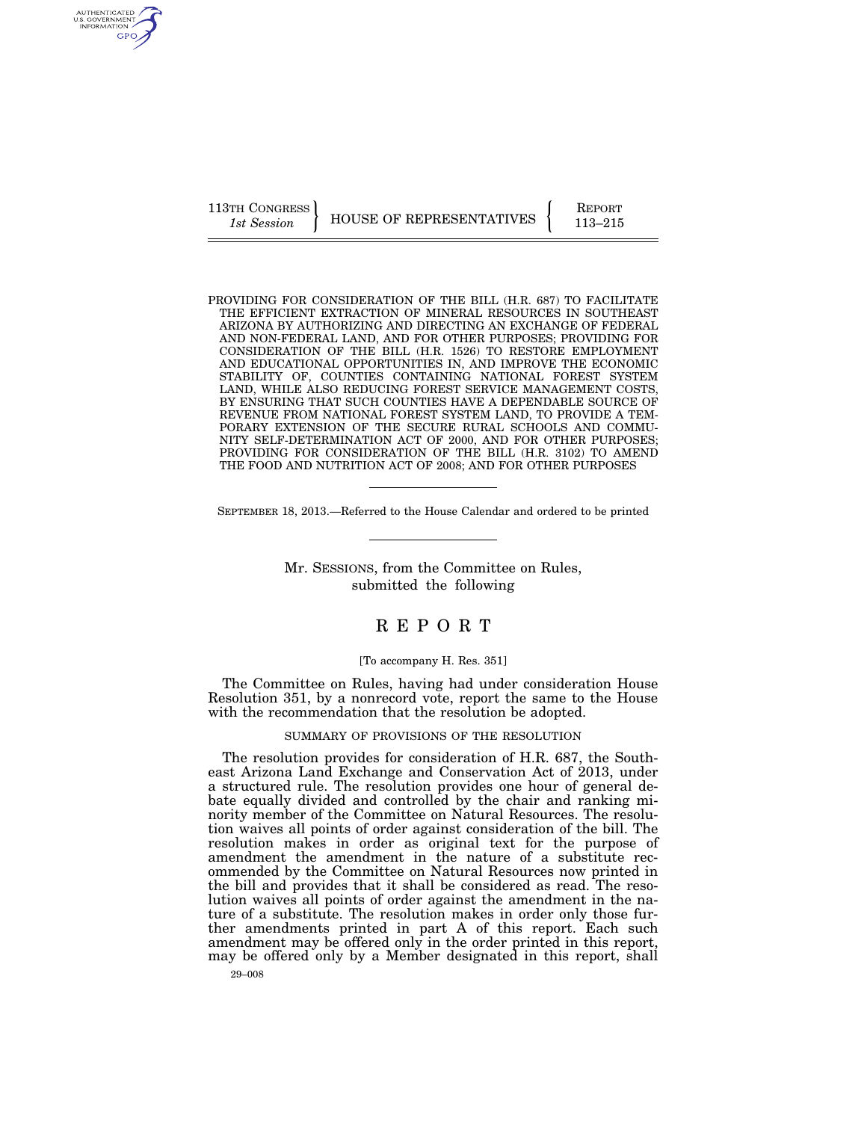113TH CONGRESS HOUSE OF REPRESENTATIVES FEPORT 113–215

PROVIDING FOR CONSIDERATION OF THE BILL (H.R. 687) TO FACILITATE THE EFFICIENT EXTRACTION OF MINERAL RESOURCES IN SOUTHEAST ARIZONA BY AUTHORIZING AND DIRECTING AN EXCHANGE OF FEDERAL AND NON-FEDERAL LAND, AND FOR OTHER PURPOSES; PROVIDING FOR CONSIDERATION OF THE BILL (H.R. 1526) TO RESTORE EMPLOYMENT AND EDUCATIONAL OPPORTUNITIES IN, AND IMPROVE THE ECONOMIC STABILITY OF, COUNTIES CONTAINING NATIONAL FOREST SYSTEM LAND, WHILE ALSO REDUCING FOREST SERVICE MANAGEMENT COSTS, BY ENSURING THAT SUCH COUNTIES HAVE A DEPENDABLE SOURCE OF REVENUE FROM NATIONAL FOREST SYSTEM LAND, TO PROVIDE A TEM-PORARY EXTENSION OF THE SECURE RURAL SCHOOLS AND COMMU-NITY SELF-DETERMINATION ACT OF 2000, AND FOR OTHER PURPOSES; PROVIDING FOR CONSIDERATION OF THE BILL (H.R. 3102) TO AMEND THE FOOD AND NUTRITION ACT OF 2008; AND FOR OTHER PURPOSES

SEPTEMBER 18, 2013.—Referred to the House Calendar and ordered to be printed

Mr. SESSIONS, from the Committee on Rules, submitted the following

## R E P O R T

#### [To accompany H. Res. 351]

The Committee on Rules, having had under consideration House Resolution 351, by a nonrecord vote, report the same to the House with the recommendation that the resolution be adopted.

## SUMMARY OF PROVISIONS OF THE RESOLUTION

The resolution provides for consideration of H.R. 687, the Southeast Arizona Land Exchange and Conservation Act of 2013, under a structured rule. The resolution provides one hour of general debate equally divided and controlled by the chair and ranking minority member of the Committee on Natural Resources. The resolution waives all points of order against consideration of the bill. The resolution makes in order as original text for the purpose of amendment the amendment in the nature of a substitute recommended by the Committee on Natural Resources now printed in the bill and provides that it shall be considered as read. The resolution waives all points of order against the amendment in the nature of a substitute. The resolution makes in order only those further amendments printed in part A of this report. Each such amendment may be offered only in the order printed in this report, may be offered only by a Member designated in this report, shall

29–008

AUTHENTICATED<br>U.S. GOVERNMENT<br>INFORMATION GPO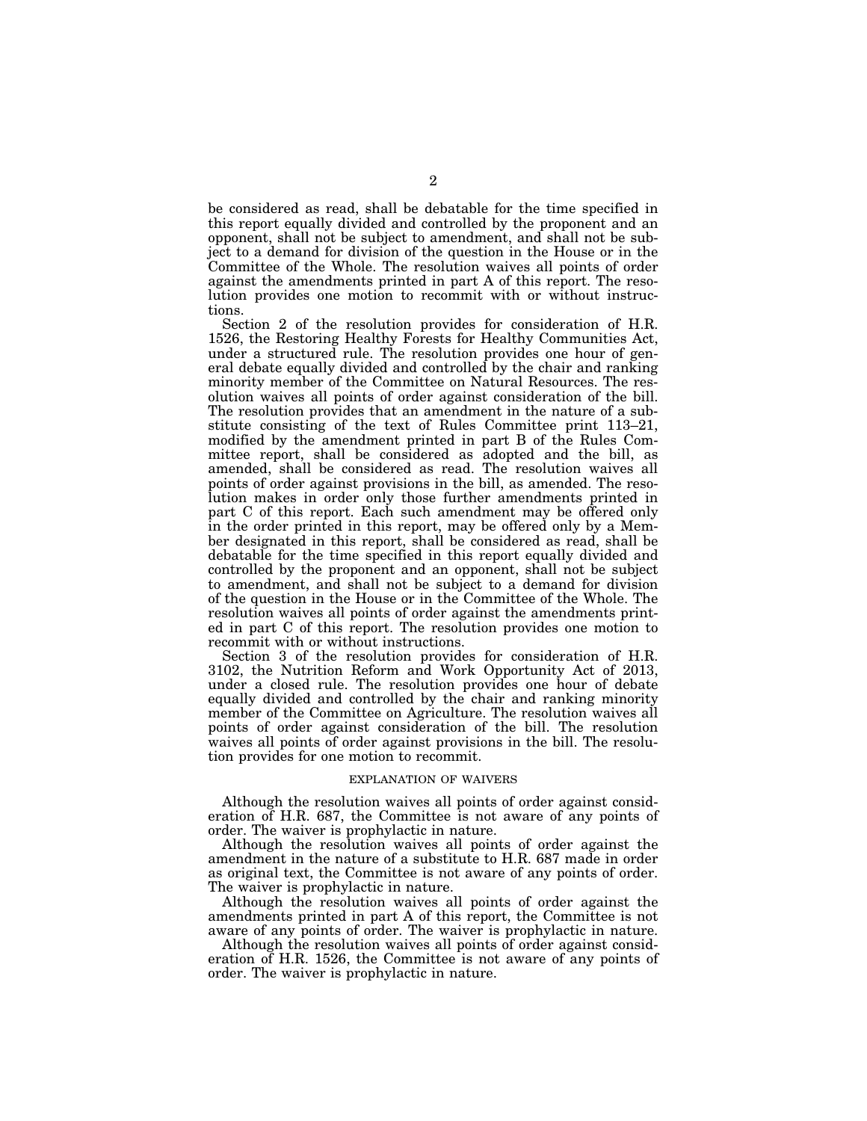be considered as read, shall be debatable for the time specified in this report equally divided and controlled by the proponent and an opponent, shall not be subject to amendment, and shall not be subject to a demand for division of the question in the House or in the Committee of the Whole. The resolution waives all points of order against the amendments printed in part A of this report. The resolution provides one motion to recommit with or without instructions.

Section 2 of the resolution provides for consideration of H.R. 1526, the Restoring Healthy Forests for Healthy Communities Act, under a structured rule. The resolution provides one hour of general debate equally divided and controlled by the chair and ranking minority member of the Committee on Natural Resources. The resolution waives all points of order against consideration of the bill. The resolution provides that an amendment in the nature of a substitute consisting of the text of Rules Committee print 113–21, modified by the amendment printed in part B of the Rules Committee report, shall be considered as adopted and the bill, as amended, shall be considered as read. The resolution waives all points of order against provisions in the bill, as amended. The resolution makes in order only those further amendments printed in part C of this report. Each such amendment may be offered only in the order printed in this report, may be offered only by a Member designated in this report, shall be considered as read, shall be debatable for the time specified in this report equally divided and controlled by the proponent and an opponent, shall not be subject to amendment, and shall not be subject to a demand for division of the question in the House or in the Committee of the Whole. The resolution waives all points of order against the amendments printed in part C of this report. The resolution provides one motion to recommit with or without instructions.

Section 3 of the resolution provides for consideration of H.R. 3102, the Nutrition Reform and Work Opportunity Act of 2013, under a closed rule. The resolution provides one hour of debate equally divided and controlled by the chair and ranking minority member of the Committee on Agriculture. The resolution waives all points of order against consideration of the bill. The resolution waives all points of order against provisions in the bill. The resolution provides for one motion to recommit.

#### EXPLANATION OF WAIVERS

Although the resolution waives all points of order against consideration of H.R. 687, the Committee is not aware of any points of order. The waiver is prophylactic in nature.

Although the resolution waives all points of order against the amendment in the nature of a substitute to H.R. 687 made in order as original text, the Committee is not aware of any points of order. The waiver is prophylactic in nature.

Although the resolution waives all points of order against the amendments printed in part A of this report, the Committee is not aware of any points of order. The waiver is prophylactic in nature.

Although the resolution waives all points of order against consideration of H.R. 1526, the Committee is not aware of any points of order. The waiver is prophylactic in nature.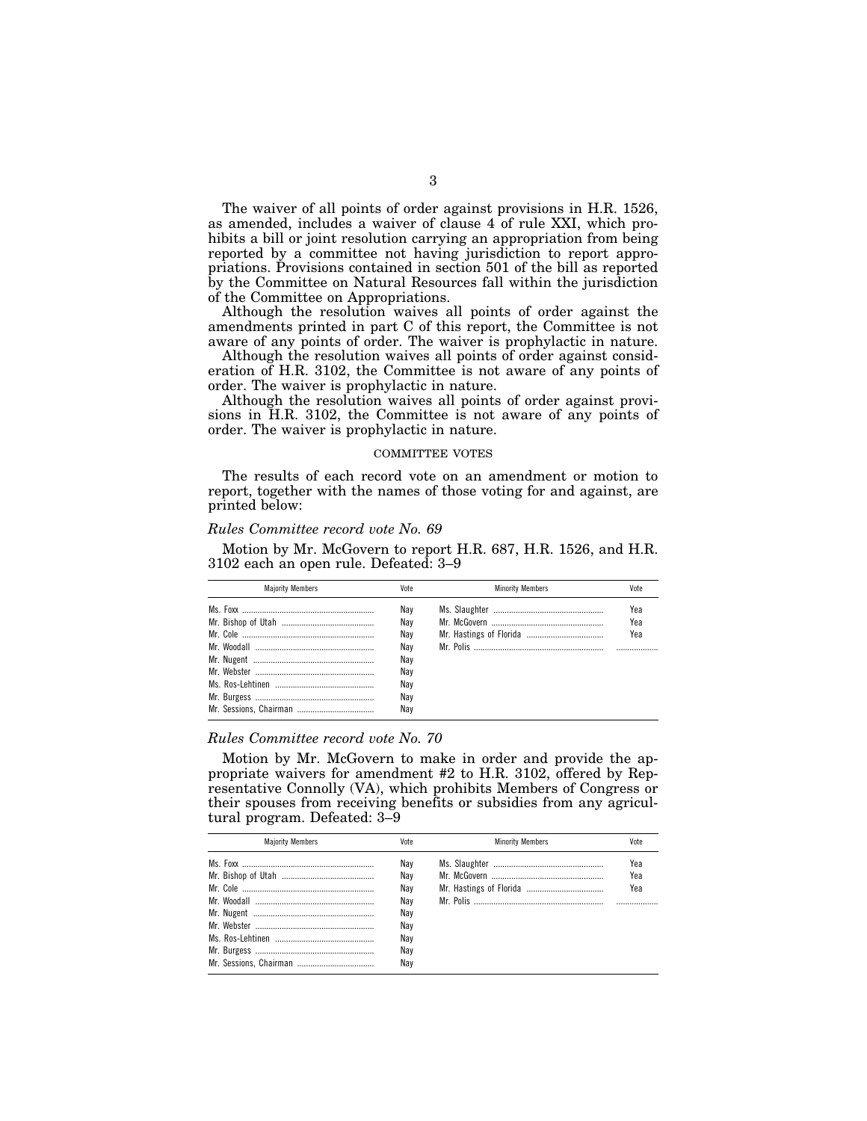The waiver of all points of order against provisions in H.R. 1526, as amended, includes a waiver of clause 4 of rule XXI, which prohibits a bill or joint resolution carrying an appropriation from being reported by a committee not having jurisdiction to report appropriations. Provisions contained in section 501 of the bill as reported by the Committee on Natural Resources fall within the jurisdiction of the Committee on Appropriations.

Although the resolution waives all points of order against the amendments printed in part C of this report, the Committee is not aware of any points of order. The waiver is prophylactic in nature.

Although the resolution waives all points of order against consideration of H.R. 3102, the Committee is not aware of any points of order. The waiver is prophylactic in nature.

Although the resolution waives all points of order against provisions in H.R. 3102, the Committee is not aware of any points of order. The waiver is prophylactic in nature.

## COMMITTEE VOTES

The results of each record vote on an amendment or motion to report, together with the names of those voting for and against, are printed below:

## *Rules Committee record vote No. 69*

Motion by Mr. McGovern to report H.R. 687, H.R. 1526, and H.R. 3102 each an open rule. Defeated: 3–9

| <b>Majority Members</b> | Vote | <b>Minority Members</b> | Vote |
|-------------------------|------|-------------------------|------|
|                         | Nav  |                         | Yea  |
|                         | Nav  |                         | Yea  |
|                         | Nav  |                         | Yea  |
|                         | Nav  |                         |      |
|                         | Nay  |                         |      |
|                         | Nav  |                         |      |
|                         | Nav  |                         |      |
|                         | Nav  |                         |      |
|                         | Nav  |                         |      |
|                         |      |                         |      |

## *Rules Committee record vote No. 70*

Motion by Mr. McGovern to make in order and provide the appropriate waivers for amendment #2 to H.R. 3102, offered by Representative Connolly (VA), which prohibits Members of Congress or their spouses from receiving benefits or subsidies from any agricultural program. Defeated: 3–9

| Vote                            | <b>Minority Members</b> | Vote              |
|---------------------------------|-------------------------|-------------------|
| Nav<br>Nav<br>Nav<br>Nav<br>Nav |                         | Yea<br>Yea<br>Yea |
| Nav<br>Nav<br>Nav<br>Nav        |                         |                   |
|                                 |                         |                   |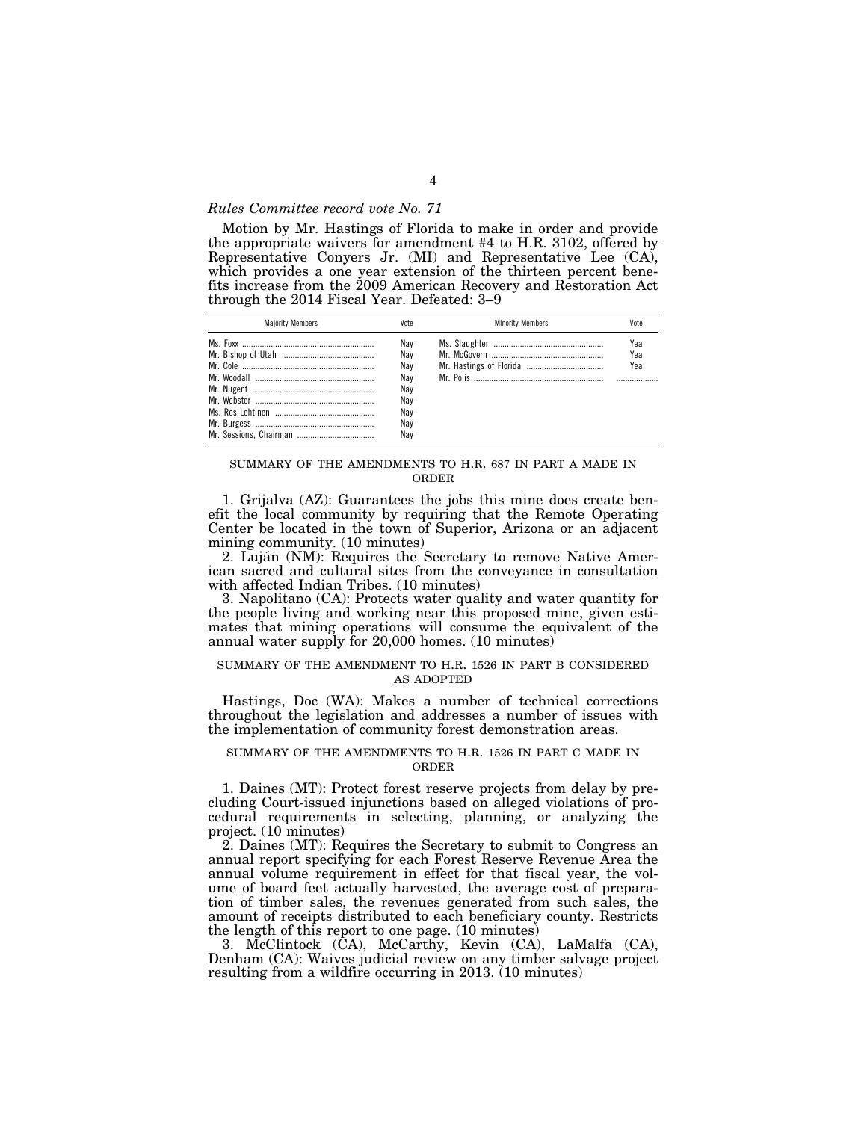## *Rules Committee record vote No. 71*

Motion by Mr. Hastings of Florida to make in order and provide the appropriate waivers for amendment #4 to H.R. 3102, offered by Representative Conyers Jr. (MI) and Representative Lee (CA), which provides a one year extension of the thirteen percent benefits increase from the 2009 American Recovery and Restoration Act through the 2014 Fiscal Year. Defeated: 3–9

| <b>Maiority Members</b> | Vote | <b>Minority Members</b> | Vote |
|-------------------------|------|-------------------------|------|
|                         | Nav  |                         | Yea  |
|                         | Nav  |                         | Yea  |
|                         | Nav  |                         | Yea  |
|                         | Nav  |                         |      |
|                         | Nav  |                         |      |
|                         | Nay  |                         |      |
|                         | Nay  |                         |      |
|                         | Nav  |                         |      |
|                         | Nav  |                         |      |

## SUMMARY OF THE AMENDMENTS TO H.R. 687 IN PART A MADE IN ORDER

1. Grijalva (AZ): Guarantees the jobs this mine does create benefit the local community by requiring that the Remote Operating Center be located in the town of Superior, Arizona or an adjacent mining community. (10 minutes)

2. Luján (NM): Requires the Secretary to remove Native American sacred and cultural sites from the conveyance in consultation with affected Indian Tribes. (10 minutes)

3. Napolitano (CA): Protects water quality and water quantity for the people living and working near this proposed mine, given estimates that mining operations will consume the equivalent of the annual water supply for 20,000 homes. (10 minutes)

## SUMMARY OF THE AMENDMENT TO H.R. 1526 IN PART B CONSIDERED AS ADOPTED

Hastings, Doc (WA): Makes a number of technical corrections throughout the legislation and addresses a number of issues with the implementation of community forest demonstration areas.

#### SUMMARY OF THE AMENDMENTS TO H.R. 1526 IN PART C MADE IN ORDER

1. Daines (MT): Protect forest reserve projects from delay by precluding Court-issued injunctions based on alleged violations of procedural requirements in selecting, planning, or analyzing the project. (10 minutes)

2. Daines (MT): Requires the Secretary to submit to Congress an annual report specifying for each Forest Reserve Revenue Area the annual volume requirement in effect for that fiscal year, the volume of board feet actually harvested, the average cost of preparation of timber sales, the revenues generated from such sales, the amount of receipts distributed to each beneficiary county. Restricts the length of this report to one page. (10 minutes)

3. McClintock (CA), McCarthy, Kevin (CA), LaMalfa (CA), Denham (CA): Waives judicial review on any timber salvage project resulting from a wildfire occurring in 2013. (10 minutes)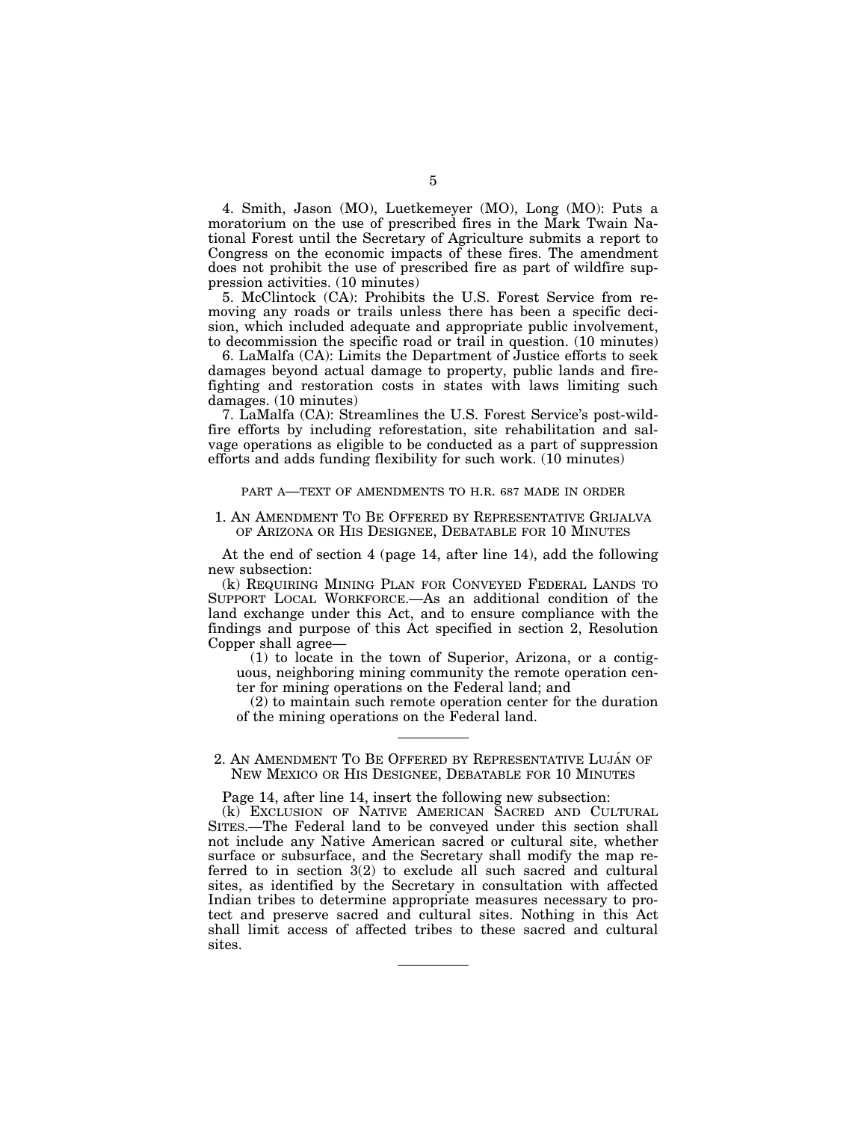4. Smith, Jason (MO), Luetkemeyer (MO), Long (MO): Puts a moratorium on the use of prescribed fires in the Mark Twain National Forest until the Secretary of Agriculture submits a report to Congress on the economic impacts of these fires. The amendment does not prohibit the use of prescribed fire as part of wildfire suppression activities. (10 minutes)

5. McClintock (CA): Prohibits the U.S. Forest Service from removing any roads or trails unless there has been a specific decision, which included adequate and appropriate public involvement, to decommission the specific road or trail in question. (10 minutes)

6. LaMalfa (CA): Limits the Department of Justice efforts to seek damages beyond actual damage to property, public lands and firefighting and restoration costs in states with laws limiting such damages. (10 minutes)

7. LaMalfa (CA): Streamlines the U.S. Forest Service's post-wildfire efforts by including reforestation, site rehabilitation and salvage operations as eligible to be conducted as a part of suppression efforts and adds funding flexibility for such work. (10 minutes)

## PART A—TEXT OF AMENDMENTS TO H.R. 687 MADE IN ORDER

## 1. AN AMENDMENT TO BE OFFERED BY REPRESENTATIVE GRIJALVA OF ARIZONA OR HIS DESIGNEE, DEBATABLE FOR 10 MINUTES

At the end of section 4 (page 14, after line 14), add the following new subsection:

(k) REQUIRING MINING PLAN FOR CONVEYED FEDERAL LANDS TO SUPPORT LOCAL WORKFORCE.—As an additional condition of the land exchange under this Act, and to ensure compliance with the findings and purpose of this Act specified in section 2, Resolution Copper shall agree—

(1) to locate in the town of Superior, Arizona, or a contiguous, neighboring mining community the remote operation center for mining operations on the Federal land; and

(2) to maintain such remote operation center for the duration of the mining operations on the Federal land.

2. AN AMENDMENT TO BE OFFERED BY REPRESENTATIVE LUJÁN OF NEW MEXICO OR HIS DESIGNEE, DEBATABLE FOR 10 MINUTES

Page 14, after line 14, insert the following new subsection:

(k) EXCLUSION OF NATIVE AMERICAN SACRED AND CULTURAL SITES.—The Federal land to be conveyed under this section shall not include any Native American sacred or cultural site, whether surface or subsurface, and the Secretary shall modify the map referred to in section 3(2) to exclude all such sacred and cultural sites, as identified by the Secretary in consultation with affected Indian tribes to determine appropriate measures necessary to protect and preserve sacred and cultural sites. Nothing in this Act shall limit access of affected tribes to these sacred and cultural sites.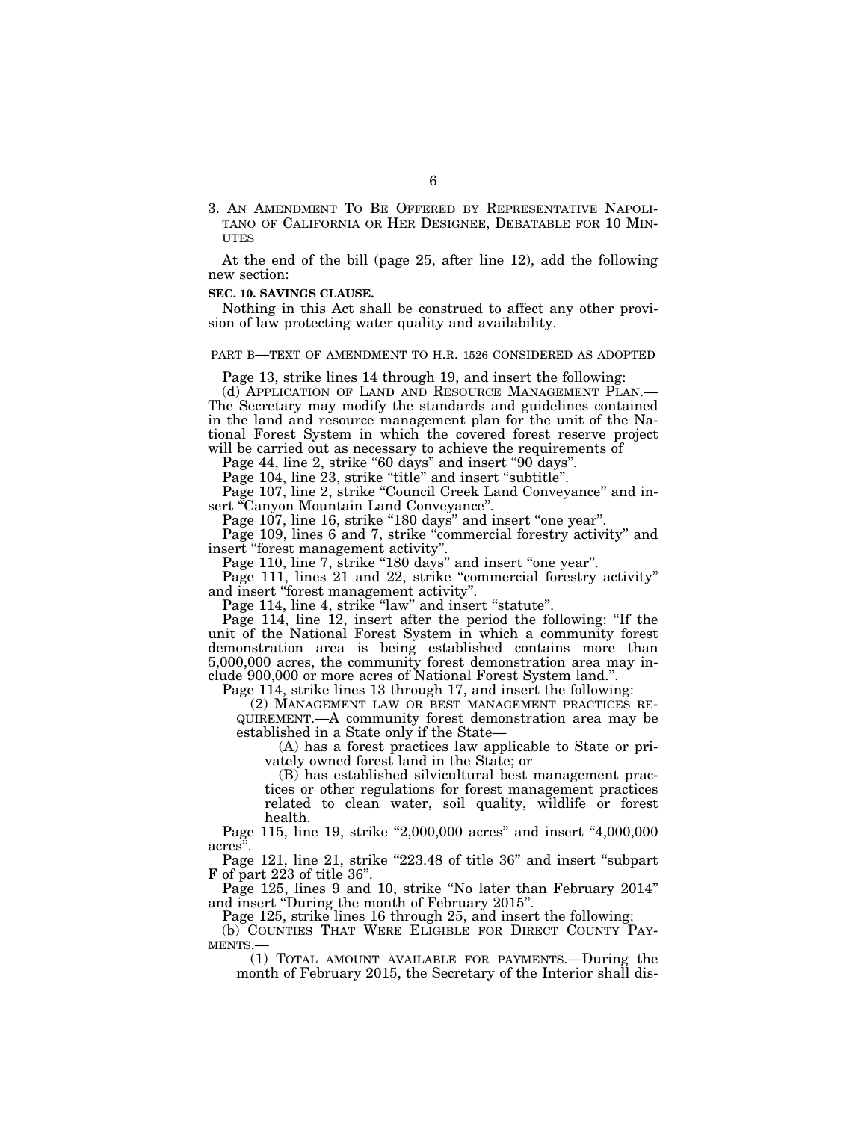3. AN AMENDMENT TO BE OFFERED BY REPRESENTATIVE NAPOLI-TANO OF CALIFORNIA OR HER DESIGNEE, DEBATABLE FOR 10 MIN-**ITTES** 

At the end of the bill (page 25, after line 12), add the following new section:

#### **SEC. 10. SAVINGS CLAUSE.**

Nothing in this Act shall be construed to affect any other provision of law protecting water quality and availability.

## PART B—TEXT OF AMENDMENT TO H.R. 1526 CONSIDERED AS ADOPTED

Page 13, strike lines 14 through 19, and insert the following:

(d) APPLICATION OF LAND AND RESOURCE MANAGEMENT PLAN.— The Secretary may modify the standards and guidelines contained in the land and resource management plan for the unit of the National Forest System in which the covered forest reserve project will be carried out as necessary to achieve the requirements of

Page 44, line 2, strike "60 days" and insert "90 days".

Page 104, line 23, strike "title" and insert "subtitle".

Page 107, line 2, strike ''Council Creek Land Conveyance'' and insert "Canyon Mountain Land Conveyance".

Page 107, line 16, strike "180 days" and insert "one year".

Page 109, lines 6 and 7, strike "commercial forestry activity" and insert ''forest management activity''.

Page 110, line 7, strike "180 days" and insert "one year".

Page 111, lines 21 and 22, strike "commercial forestry activity" and insert ''forest management activity''.

Page 114, line 4, strike "law" and insert "statute".

Page 114, line 12, insert after the period the following: ''If the unit of the National Forest System in which a community forest demonstration area is being established contains more than 5,000,000 acres, the community forest demonstration area may include 900,000 or more acres of National Forest System land.''.

Page 114, strike lines 13 through 17, and insert the following:

(2) MANAGEMENT LAW OR BEST MANAGEMENT PRACTICES RE-QUIREMENT.—A community forest demonstration area may be established in a State only if the State—

(A) has a forest practices law applicable to State or privately owned forest land in the State; or

(B) has established silvicultural best management practices or other regulations for forest management practices related to clean water, soil quality, wildlife or forest health.

Page 115, line 19, strike "2,000,000 acres" and insert "4,000,000 acres''.

Page 121, line 21, strike "223.48 of title 36" and insert "subpart" F of part 223 of title 36''.

Page 125, lines 9 and 10, strike "No later than February 2014" and insert ''During the month of February 2015''.

Page 125, strike lines 16 through 25, and insert the following:

(b) COUNTIES THAT WERE ELIGIBLE FOR DIRECT COUNTY PAY-MENTS.

(1) TOTAL AMOUNT AVAILABLE FOR PAYMENTS.—During the month of February 2015, the Secretary of the Interior shall dis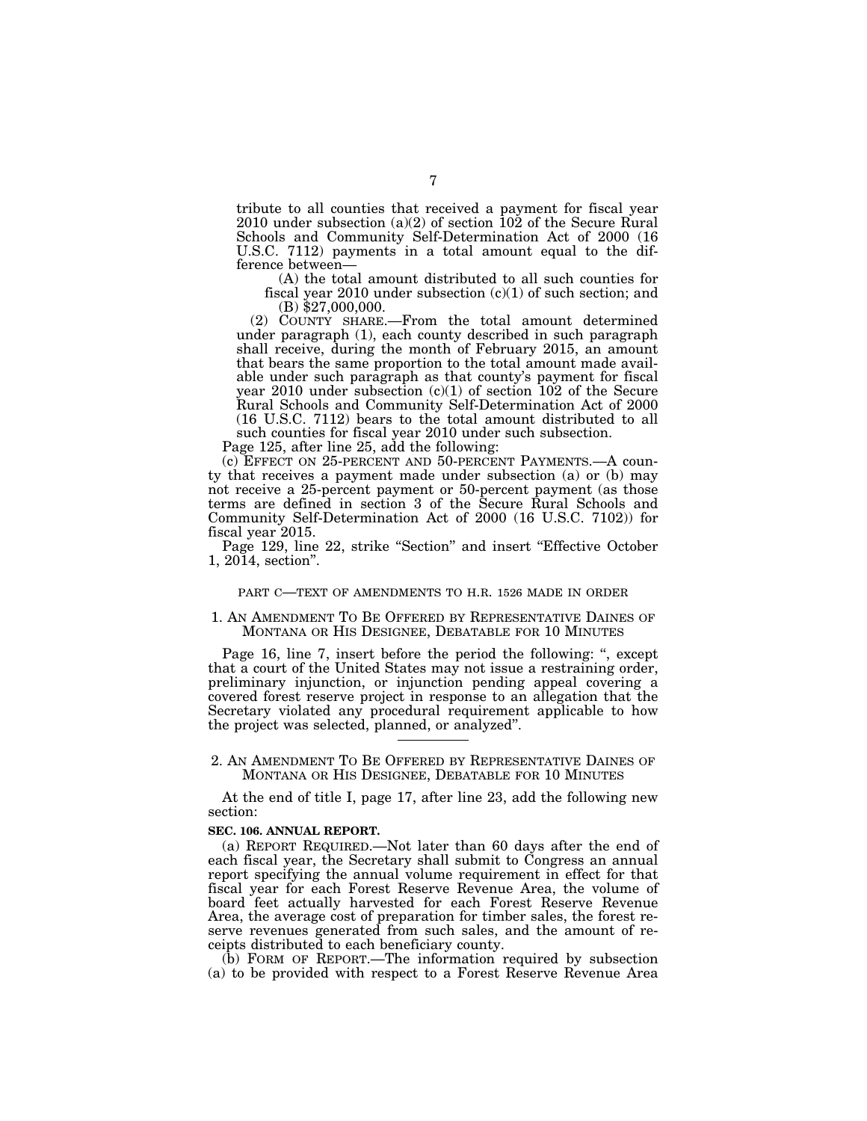tribute to all counties that received a payment for fiscal year 2010 under subsection (a)(2) of section 102 of the Secure Rural Schools and Community Self-Determination Act of 2000 (16 U.S.C. 7112) payments in a total amount equal to the difference between—

(A) the total amount distributed to all such counties for fiscal year 2010 under subsection  $(c)(1)$  of such section; and  $(B)$  \$27,000,000.

(2) COUNTY SHARE.—From the total amount determined under paragraph (1), each county described in such paragraph shall receive, during the month of February 2015, an amount that bears the same proportion to the total amount made available under such paragraph as that county's payment for fiscal year 2010 under subsection  $(c)(1)$  of section 102 of the Secure Rural Schools and Community Self-Determination Act of 2000 (16 U.S.C. 7112) bears to the total amount distributed to all such counties for fiscal year 2010 under such subsection.

Page 125, after line 25, add the following:

(c) EFFECT ON 25-PERCENT AND 50-PERCENT PAYMENTS.—A county that receives a payment made under subsection (a) or (b) may not receive a 25-percent payment or 50-percent payment (as those terms are defined in section 3 of the Secure Rural Schools and Community Self-Determination Act of 2000 (16 U.S.C. 7102)) for fiscal year 2015.

Page 129, line 22, strike "Section" and insert "Effective October 1, 2014, section''.

#### PART C—TEXT OF AMENDMENTS TO H.R. 1526 MADE IN ORDER

1. AN AMENDMENT TO BE OFFERED BY REPRESENTATIVE DAINES OF MONTANA OR HIS DESIGNEE, DEBATABLE FOR 10 MINUTES

Page 16, line 7, insert before the period the following: ", except that a court of the United States may not issue a restraining order, preliminary injunction, or injunction pending appeal covering a covered forest reserve project in response to an allegation that the Secretary violated any procedural requirement applicable to how the project was selected, planned, or analyzed''.

## 2. AN AMENDMENT TO BE OFFERED BY REPRESENTATIVE DAINES OF MONTANA OR HIS DESIGNEE, DEBATABLE FOR 10 MINUTES

At the end of title I, page 17, after line 23, add the following new section:

#### **SEC. 106. ANNUAL REPORT.**

(a) REPORT REQUIRED.—Not later than 60 days after the end of each fiscal year, the Secretary shall submit to Congress an annual report specifying the annual volume requirement in effect for that fiscal year for each Forest Reserve Revenue Area, the volume of board feet actually harvested for each Forest Reserve Revenue Area, the average cost of preparation for timber sales, the forest reserve revenues generated from such sales, and the amount of receipts distributed to each beneficiary county.

(b) FORM OF REPORT.—The information required by subsection (a) to be provided with respect to a Forest Reserve Revenue Area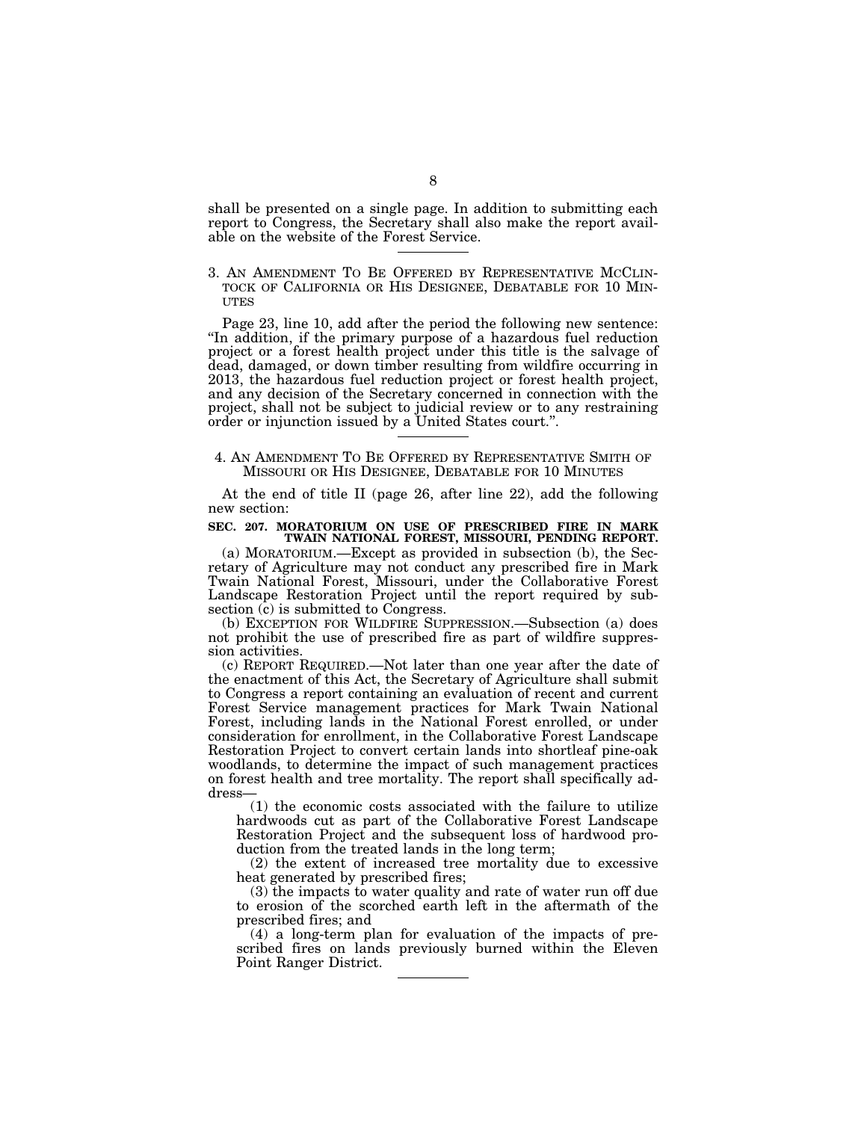shall be presented on a single page. In addition to submitting each report to Congress, the Secretary shall also make the report available on the website of the Forest Service.

3. AN AMENDMENT TO BE OFFERED BY REPRESENTATIVE MCCLIN- TOCK OF CALIFORNIA OR HIS DESIGNEE, DEBATABLE FOR 10 MIN- UTES

Page 23, line 10, add after the period the following new sentence: ''In addition, if the primary purpose of a hazardous fuel reduction project or a forest health project under this title is the salvage of dead, damaged, or down timber resulting from wildfire occurring in 2013, the hazardous fuel reduction project or forest health project, and any decision of the Secretary concerned in connection with the project, shall not be subject to judicial review or to any restraining order or injunction issued by a United States court.''.

## 4. AN AMENDMENT TO BE OFFERED BY REPRESENTATIVE SMITH OF MISSOURI OR HIS DESIGNEE, DEBATABLE FOR 10 MINUTES

At the end of title II (page 26, after line 22), add the following new section:

# **SEC. 207. MORATORIUM ON USE OF PRESCRIBED FIRE IN MARK TWAIN NATIONAL FOREST, MISSOURI, PENDING REPORT.**

(a) MORATORIUM.—Except as provided in subsection (b), the Secretary of Agriculture may not conduct any prescribed fire in Mark Twain National Forest, Missouri, under the Collaborative Forest Landscape Restoration Project until the report required by subsection (c) is submitted to Congress.

(b) EXCEPTION FOR WILDFIRE SUPPRESSION.—Subsection (a) does not prohibit the use of prescribed fire as part of wildfire suppression activities.

(c) REPORT REQUIRED.—Not later than one year after the date of the enactment of this Act, the Secretary of Agriculture shall submit to Congress a report containing an evaluation of recent and current Forest Service management practices for Mark Twain National Forest, including lands in the National Forest enrolled, or under consideration for enrollment, in the Collaborative Forest Landscape Restoration Project to convert certain lands into shortleaf pine-oak woodlands, to determine the impact of such management practices on forest health and tree mortality. The report shall specifically address—

(1) the economic costs associated with the failure to utilize hardwoods cut as part of the Collaborative Forest Landscape Restoration Project and the subsequent loss of hardwood production from the treated lands in the long term;

(2) the extent of increased tree mortality due to excessive heat generated by prescribed fires;

(3) the impacts to water quality and rate of water run off due to erosion of the scorched earth left in the aftermath of the prescribed fires; and

(4) a long-term plan for evaluation of the impacts of prescribed fires on lands previously burned within the Eleven Point Ranger District.